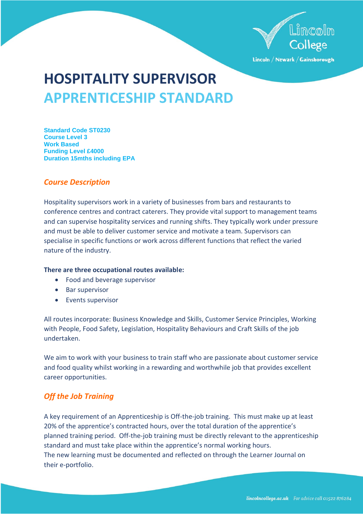

Lincoln / Newark / Gainsborough

# **HOSPITALITY SUPERVISOR APPRENTICESHIP STANDARD**

**Standard Code ST0230 Course Level 3 Work Based Funding Level £4000 Duration 15mths including EPA**

# *Course Description*

Hospitality supervisors work in a variety of businesses from bars and restaurants to conference centres and contract caterers. They provide vital support to management teams and can supervise hospitality services and running shifts. They typically work under pressure and must be able to deliver customer service and motivate a team. Supervisors can specialise in specific functions or work across different functions that reflect the varied nature of the industry.

## **There are three occupational routes available:**

- Food and beverage supervisor
- Bar supervisor
- Events supervisor

All routes incorporate: Business Knowledge and Skills, Customer Service Principles, Working with People, Food Safety, Legislation, Hospitality Behaviours and Craft Skills of the job undertaken.

We aim to work with your business to train staff who are passionate about customer service and food quality whilst working in a rewarding and worthwhile job that provides excellent career opportunities.

# *Off the Job Training*

A key requirement of an Apprenticeship is Off-the-job training. This must make up at least 20% of the apprentice's contracted hours, over the total duration of the apprentice's planned training period. Off-the-job training must be directly relevant to the apprenticeship standard and must take place within the apprentice's normal working hours. The new learning must be documented and reflected on through the Learner Journal on their e-portfolio.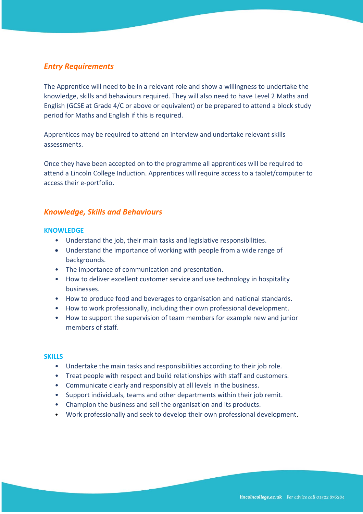# *Entry Requirements*

The Apprentice will need to be in a relevant role and show a willingness to undertake the knowledge, skills and behaviours required. They will also need to have Level 2 Maths and English (GCSE at Grade 4/C or above or equivalent) or be prepared to attend a block study period for Maths and English if this is required.

Apprentices may be required to attend an interview and undertake relevant skills assessments.

Once they have been accepted on to the programme all apprentices will be required to attend a Lincoln College Induction. Apprentices will require access to a tablet/computer to access their e-portfolio.

# *Knowledge, Skills and Behaviours*

### **KNOWLEDGE**

- Understand the job, their main tasks and legislative responsibilities.
- Understand the importance of working with people from a wide range of backgrounds.
- The importance of communication and presentation.
- How to deliver excellent customer service and use technology in hospitality businesses.
- How to produce food and beverages to organisation and national standards.
- How to work professionally, including their own professional development.
- How to support the supervision of team members for example new and junior members of staff.

#### **SKILLS**

- Undertake the main tasks and responsibilities according to their job role.
- Treat people with respect and build relationships with staff and customers.
- Communicate clearly and responsibly at all levels in the business.
- Support individuals, teams and other departments within their job remit.
- Champion the business and sell the organisation and its products.
- Work professionally and seek to develop their own professional development.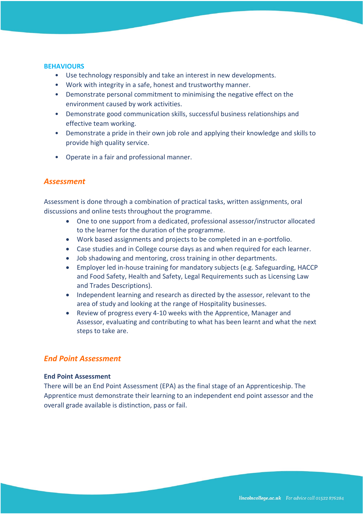#### **BEHAVIOURS**

- Use technology responsibly and take an interest in new developments.
- Work with integrity in a safe, honest and trustworthy manner.
- Demonstrate personal commitment to minimising the negative effect on the environment caused by work activities.
- Demonstrate good communication skills, successful business relationships and effective team working.
- Demonstrate a pride in their own job role and applying their knowledge and skills to provide high quality service.
- Operate in a fair and professional manner.

# *Assessment*

Assessment is done through a combination of practical tasks, written assignments, oral discussions and online tests throughout the programme.

- One to one support from a dedicated, professional assessor/instructor allocated to the learner for the duration of the programme.
- Work based assignments and projects to be completed in an e-portfolio.
- Case studies and in College course days as and when required for each learner.
- Job shadowing and mentoring, cross training in other departments.
- Employer led in-house training for mandatory subjects (e.g. Safeguarding, HACCP and Food Safety, Health and Safety, Legal Requirements such as Licensing Law and Trades Descriptions).
- Independent learning and research as directed by the assessor, relevant to the area of study and looking at the range of Hospitality businesses.
- Review of progress every 4-10 weeks with the Apprentice, Manager and Assessor, evaluating and contributing to what has been learnt and what the next steps to take are.

## *End Point Assessment*

### **End Point Assessment**

There will be an End Point Assessment (EPA) as the final stage of an Apprenticeship. The Apprentice must demonstrate their learning to an independent end point assessor and the overall grade available is distinction, pass or fail.